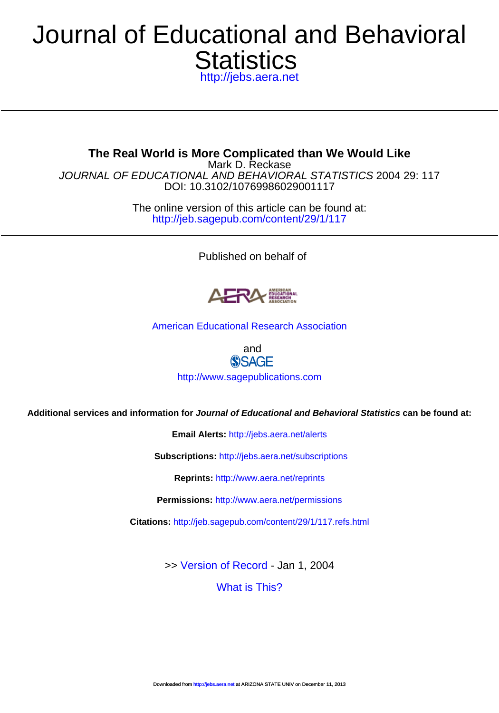# **Statistics** Journal of E[ducational and](http://www.sagepublications.com) Behavioral

<http://jebs.aera.net>

DOI: 10.31[02/10769986029001117](http://jebs.aera.net/subscriptions) JOURNAL OF EDUCATIONAL AND BEHAVIORAL STATISTICS 2004 29: 117 Mark D. Reckase **The Real World is More Complicated than We Would Like**

> <http://jeb.sagepub.com/content/29/1/117> The online version of this article can be found at:

> > Pu[blished on behalf of](http://www.aera.net/permissions)



[American Educational Research Association](http://www.aera.net)

and **SSAGE** 

<http://www.sagepublications.com>

**Additional services and information for [Journal of Educati](http://jeb.sagepub.com/content/29/1/117.full.pdf)onal and Behavioral Statistics can be found at:**

**Email Alerts:** <http://jebs.aera.net/alerts>

**Subscriptions:** <http://jebs.aera.net/subscriptions>

**Reprints:** <http://www.aera.net/reprints>

**Permissions:** <http://www.aera.net/permissions>

**Citations:** <http://jeb.sagepub.com/content/29/1/117.refs.html>

>> [Version of Record -](http://jeb.sagepub.com/content/29/1/117.full.pdf) Jan 1, 2004

[What is This?](http://online.sagepub.com/site/sphelp/vorhelp.xhtml)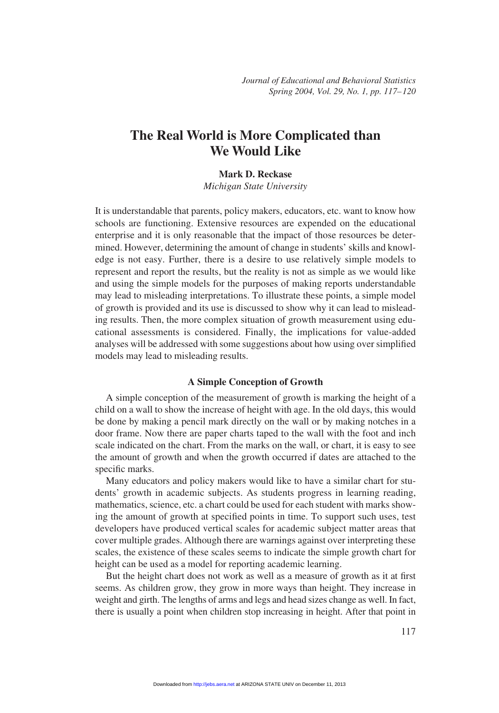## **The Real World is More Complicated than We Would Like**

#### **Mark D. Reckase**

*Michigan State University*

It is understandable that parents, policy makers, educators, etc. want to know how schools are functioning. Extensive resources are expended on the educational enterprise and it is only reasonable that the impact of those resources be determined. However, determining the amount of change in students' skills and knowledge is not easy. Further, there is a desire to use relatively simple models to represent and report the results, but the reality is not as simple as we would like and using the simple models for the purposes of making reports understandable may lead to misleading interpretations. To illustrate these points, a simple model of growth is provided and its use is discussed to show why it can lead to misleading results. Then, the more complex situation of growth measurement using educational assessments is considered. Finally, the implications for value-added analyses will be addressed with some suggestions about how using over simplified models may lead to misleading results.

#### **A Simple Conception of Growth**

A simple conception of the measurement of growth is marking the height of a child on a wall to show the increase of height with age. In the old days, this would be done by making a pencil mark directly on the wall or by making notches in a door frame. Now there are paper charts taped to the wall with the foot and inch scale indicated on the chart. From the marks on the wall, or chart, it is easy to see the amount of growth and when the growth occurred if dates are attached to the specific marks.

Many educators and policy makers would like to have a similar chart for students' growth in academic subjects. As students progress in learning reading, mathematics, science, etc. a chart could be used for each student with marks showing the amount of growth at specified points in time. To support such uses, test developers have produced vertical scales for academic subject matter areas that cover multiple grades. Although there are warnings against over interpreting these scales, the existence of these scales seems to indicate the simple growth chart for height can be used as a model for reporting academic learning.

But the height chart does not work as well as a measure of growth as it at first seems. As children grow, they grow in more ways than height. They increase in weight and girth. The lengths of arms and legs and head sizes change as well. In fact, there is usually a point when children stop increasing in height. After that point in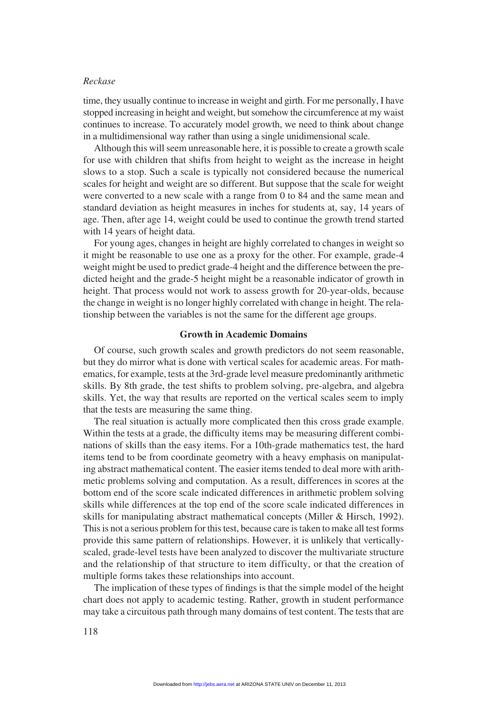#### *Reckase*

time, they usually continue to increase in weight and girth. For me personally, I have stopped increasing in height and weight, but somehow the circumference at my waist continues to increase. To accurately model growth, we need to think about change in a multidimensional way rather than using a single unidimensional scale.

Although this will seem unreasonable here, it is possible to create a growth scale for use with children that shifts from height to weight as the increase in height slows to a stop. Such a scale is typically not considered because the numerical scales for height and weight are so different. But suppose that the scale for weight were converted to a new scale with a range from 0 to 84 and the same mean and standard deviation as height measures in inches for students at, say, 14 years of age. Then, after age 14, weight could be used to continue the growth trend started with 14 years of height data.

For young ages, changes in height are highly correlated to changes in weight so it might be reasonable to use one as a proxy for the other. For example, grade-4 weight might be used to predict grade-4 height and the difference between the predicted height and the grade-5 height might be a reasonable indicator of growth in height. That process would not work to assess growth for 20-year-olds, because the change in weight is no longer highly correlated with change in height. The relationship between the variables is not the same for the different age groups.

#### **Growth in Academic Domains**

Of course, such growth scales and growth predictors do not seem reasonable, but they do mirror what is done with vertical scales for academic areas. For mathematics, for example, tests at the 3rd-grade level measure predominantly arithmetic skills. By 8th grade, the test shifts to problem solving, pre-algebra, and algebra skills. Yet, the way that results are reported on the vertical scales seem to imply that the tests are measuring the same thing.

The real situation is actually more complicated then this cross grade example. Within the tests at a grade, the difficulty items may be measuring different combinations of skills than the easy items. For a 10th-grade mathematics test, the hard items tend to be from coordinate geometry with a heavy emphasis on manipulating abstract mathematical content. The easier items tended to deal more with arithmetic problems solving and computation. As a result, differences in scores at the bottom end of the score scale indicated differences in arithmetic problem solving skills while differences at the top end of the score scale indicated differences in skills for manipulating abstract mathematical concepts (Miller & Hirsch, 1992). This is not a serious problem for this test, because care is taken to make all test forms provide this same pattern of relationships. However, it is unlikely that verticallyscaled, grade-level tests have been analyzed to discover the multivariate structure and the relationship of that structure to item difficulty, or that the creation of multiple forms takes these relationships into account.

The implication of these types of findings is that the simple model of the height chart does not apply to academic testing. Rather, growth in student performance may take a circuitous path through many domains of test content. The tests that are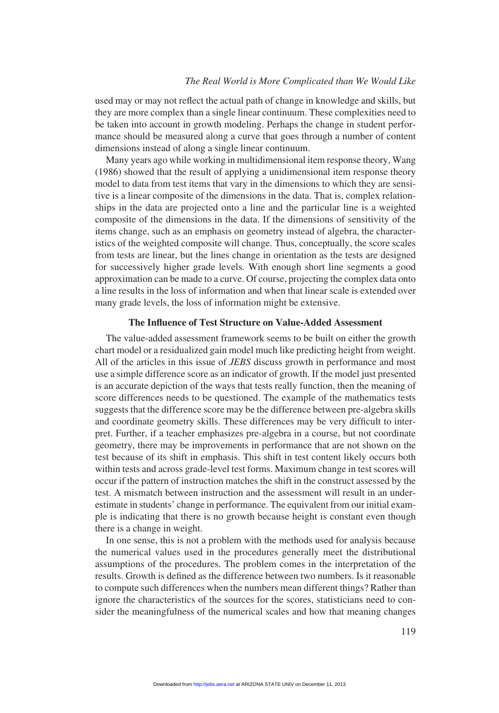#### *The Real World is More Complicated than We Would Like*

used may or may not reflect the actual path of change in knowledge and skills, but they are more complex than a single linear continuum. These complexities need to be taken into account in growth modeling. Perhaps the change in student performance should be measured along a curve that goes through a number of content dimensions instead of along a single linear continuum.

Many years ago while working in multidimensional item response theory, Wang (1986) showed that the result of applying a unidimensional item response theory model to data from test items that vary in the dimensions to which they are sensitive is a linear composite of the dimensions in the data. That is, complex relationships in the data are projected onto a line and the particular line is a weighted composite of the dimensions in the data. If the dimensions of sensitivity of the items change, such as an emphasis on geometry instead of algebra, the characteristics of the weighted composite will change. Thus, conceptually, the score scales from tests are linear, but the lines change in orientation as the tests are designed for successively higher grade levels. With enough short line segments a good approximation can be made to a curve. Of course, projecting the complex data onto a line results in the loss of information and when that linear scale is extended over many grade levels, the loss of information might be extensive.

### **The Influence of Test Structure on Value-Added Assessment**

The value-added assessment framework seems to be built on either the growth chart model or a residualized gain model much like predicting height from weight. All of the articles in this issue of *JEBS* discuss growth in performance and most use a simple difference score as an indicator of growth. If the model just presented is an accurate depiction of the ways that tests really function, then the meaning of score differences needs to be questioned. The example of the mathematics tests suggests that the difference score may be the difference between pre-algebra skills and coordinate geometry skills. These differences may be very difficult to interpret. Further, if a teacher emphasizes pre-algebra in a course, but not coordinate geometry, there may be improvements in performance that are not shown on the test because of its shift in emphasis. This shift in test content likely occurs both within tests and across grade-level test forms. Maximum change in test scores will occur if the pattern of instruction matches the shift in the construct assessed by the test. A mismatch between instruction and the assessment will result in an underestimate in students' change in performance. The equivalent from our initial example is indicating that there is no growth because height is constant even though there is a change in weight.

In one sense, this is not a problem with the methods used for analysis because the numerical values used in the procedures generally meet the distributional assumptions of the procedures. The problem comes in the interpretation of the results. Growth is defined as the difference between two numbers. Is it reasonable to compute such differences when the numbers mean different things? Rather than ignore the characteristics of the sources for the scores, statisticians need to consider the meaningfulness of the numerical scales and how that meaning changes